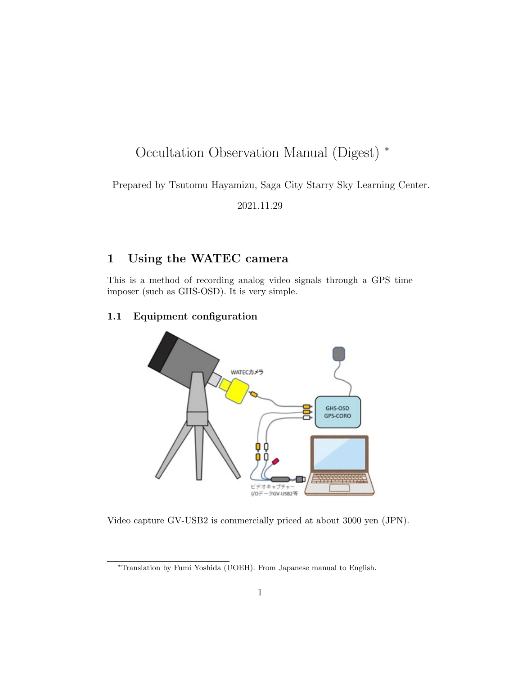# Occultation Observation Manual (Digest) <sup>∗</sup>

Prepared by Tsutomu Hayamizu, Saga City Starry Sky Learning Center.

2021.11.29

# **1 Using the WATEC camera**

This is a method of recording analog video signals through a GPS time imposer (such as GHS-OSD). It is very simple.

# **1.1 Equipment configuration**



Video capture GV-USB2 is commercially priced at about 3000 yen (JPN).

<sup>∗</sup>Translation by Fumi Yoshida (UOEH). From Japanese manual to English.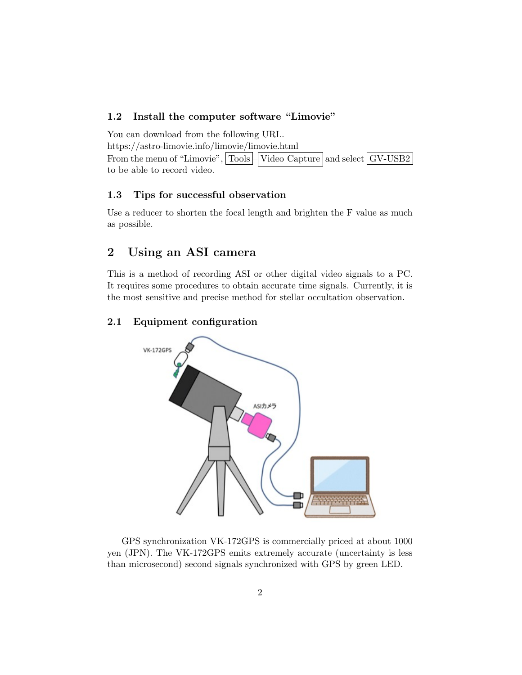# **1.2 Install the computer software "Limovie"**

You can download from the following URL. https://astro-limovie.info/limovie/limovie.html From the menu of "Limovie",  $\vert$  Tools  $\vert$  Video Capture and select  $\vert$  GV-USB2 to be able to record video.

## **1.3 Tips for successful observation**

Use a reducer to shorten the focal length and brighten the F value as much as possible.

# **2 Using an ASI camera**

This is a method of recording ASI or other digital video signals to a PC. It requires some procedures to obtain accurate time signals. Currently, it is the most sensitive and precise method for stellar occultation observation.

#### **2.1 Equipment configuration**



GPS synchronization VK-172GPS is commercially priced at about 1000 yen (JPN). The VK-172GPS emits extremely accurate (uncertainty is less than microsecond) second signals synchronized with GPS by green LED.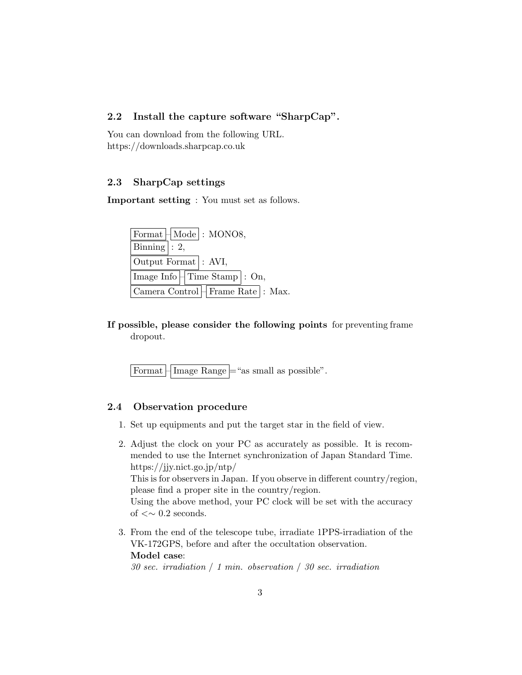# **2.2 Install the capture software "SharpCap".**

You can download from the following URL. https://downloads.sharpcap.co.uk

# **2.3 SharpCap settings**

**Important setting** : You must set as follows.

Format  $\vert$  Mode : MONO8, Binning  $\mid$  : 2, Output Format : AVI, Image Info  $\parallel$  Time Stamp : On, Camera Control  $\frac{1}{r}$  Frame Rate : Max.

**If possible, please consider the following points** for preventing frame dropout.

Format  $\frac{1}{\pi}$  Image Range  $\frac{1}{\pi}$  as small as possible".

## **2.4 Observation procedure**

- 1. Set up equipments and put the target star in the field of view.
- 2. Adjust the clock on your PC as accurately as possible. It is recommended to use the Internet synchronization of Japan Standard Time. https://jjy.nict.go.jp/ntp/ This is for observers in Japan. If you observe in different country/region, please find a proper site in the country/region. Using the above method, your PC clock will be set with the accuracy of *<∼* 0.2 seconds.
- 3. From the end of the telescope tube, irradiate 1PPS-irradiation of the VK-172GPS, before and after the occultation observation. **Model case**:

*30 sec. irradiation* / *1 min. observation* / *30 sec. irradiation*